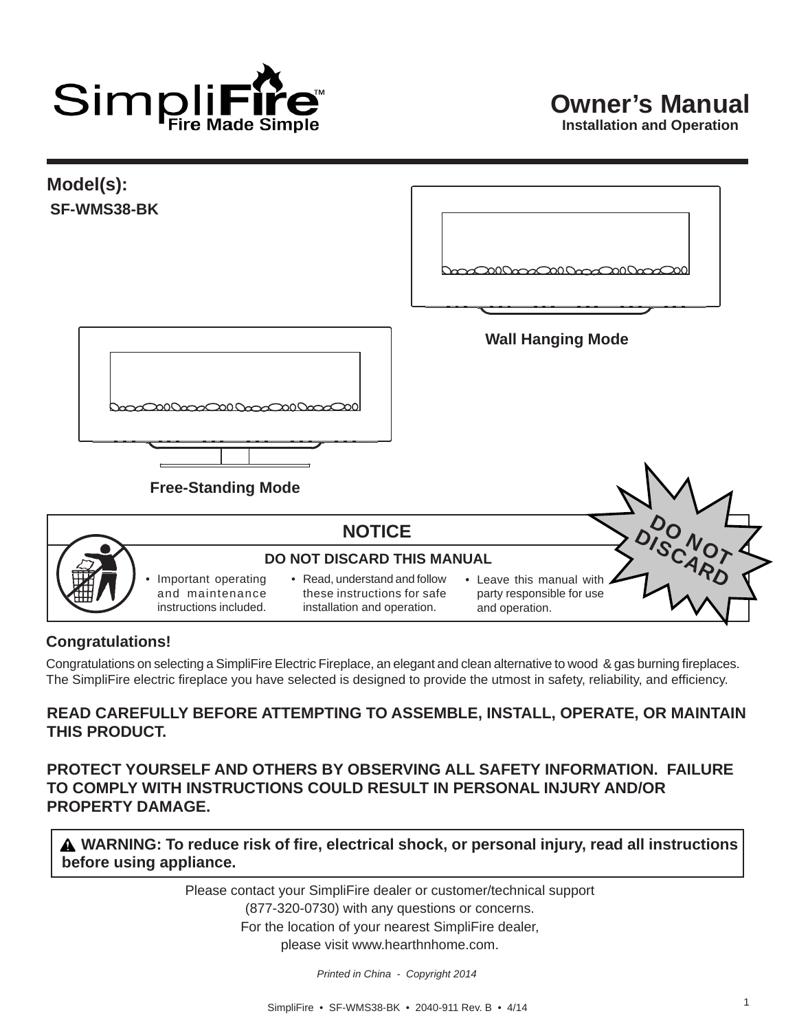

**Model(s): SF-WMS38-BK Wall Hanging Mode Free-Standing Mode**DO<br>SCNOT **NOTICE** DISCARD **DO NOT DISCARD THIS MANUAL** • Important operating • Read, understand and follow • Leave this manual with and maintenance these instructions for safe party responsible for use instructions included. installation and operation. and operation.

#### **Congratulations!**

Congratulations on selecting a SimpliFire Electric Fireplace, an elegant and clean alternative to wood & gas burning fireplaces. The SimpliFire electric fireplace you have selected is designed to provide the utmost in safety, reliability, and efficiency.

#### **READ CAREFULLY BEFORE ATTEMPTING TO ASSEMBLE, INSTALL, OPERATE, OR MAINTAIN THIS PRODUCT.**

**PROTECT YOURSELF AND OTHERS BY OBSERVING ALL SAFETY INFORMATION. FAILURE TO COMPLY WITH INSTRUCTIONS COULD RESULT IN PERSONAL INJURY AND/OR PROPERTY DAMAGE.** 

**A** WARNING: To reduce risk of fire, electrical shock, or personal injury, read all instructions **before using appliance.** 

> Please contact your SimpliFire dealer or customer/technical support (877-320-0730) with any questions or concerns. For the location of your nearest SimpliFire dealer, please visit www.hearthnhome.com.

> > *Printed in China - Copyright 2014*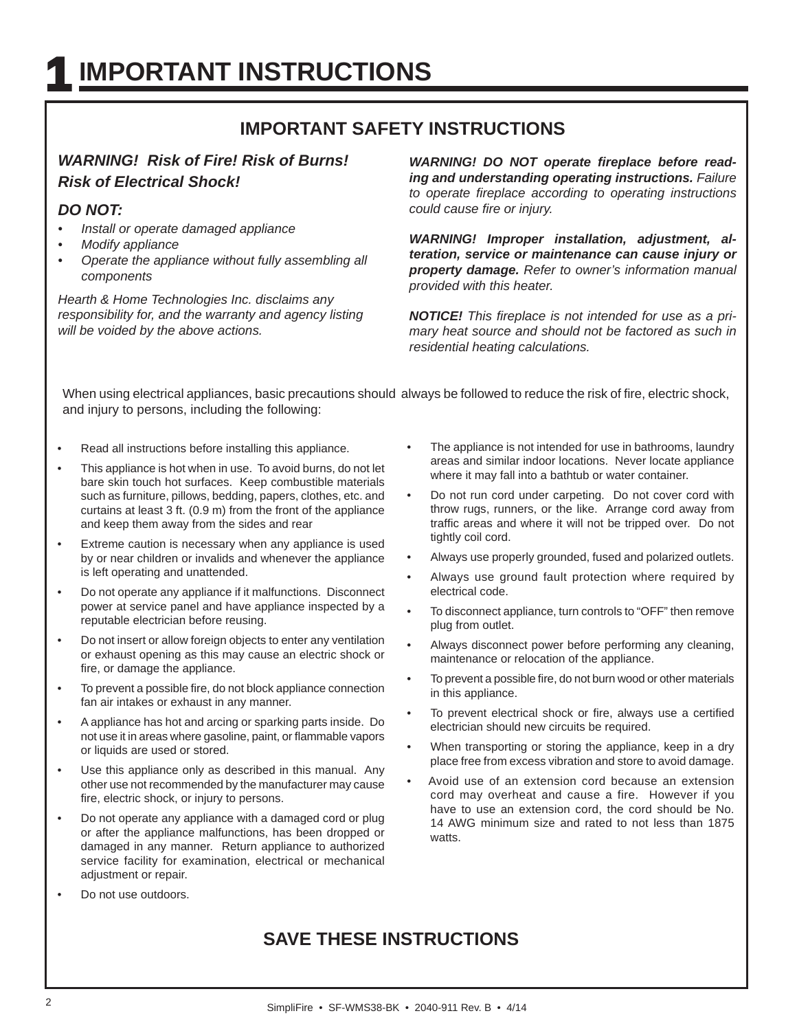## **IMPORTANT SAFETY INSTRUCTIONS**

## *WARNING! Risk of Fire! Risk of Burns! Risk of Electrical Shock!*

#### *DO NOT:*

- *Install or operate damaged appliance*
- *Modify appliance*
- *Operate the appliance without fully assembling all components*

*Hearth & Home Technologies Inc. disclaims any responsibility for, and the warranty and agency listing will be voided by the above actions.* 

WARNING! DO NOT operate fireplace before read*ing and understanding operating instructions. Failure to operate fi replace according to operating instructions could cause fire or injury.* 

*WARNING! Improper installation, adjustment, alteration, service or maintenance can cause injury or property damage. Refer to owner's information manual provided with this heater.* 

*NOTICE! This fi replace is not intended for use as a primary heat source and should not be factored as such in residential heating calculations.*

When using electrical appliances, basic precautions should always be followed to reduce the risk of fire, electric shock, and injury to persons, including the following:

- Read all instructions before installing this appliance.
- This appliance is hot when in use. To avoid burns, do not let bare skin touch hot surfaces. Keep combustible materials such as furniture, pillows, bedding, papers, clothes, etc. and curtains at least 3 ft. (0.9 m) from the front of the appliance and keep them away from the sides and rear
- Extreme caution is necessary when any appliance is used by or near children or invalids and whenever the appliance is left operating and unattended.
- Do not operate any appliance if it malfunctions. Disconnect power at service panel and have appliance inspected by a reputable electrician before reusing.
- Do not insert or allow foreign objects to enter any ventilation or exhaust opening as this may cause an electric shock or fire, or damage the appliance.
- To prevent a possible fire, do not block appliance connection fan air intakes or exhaust in any manner.
- A appliance has hot and arcing or sparking parts inside. Do not use it in areas where gasoline, paint, or flammable vapors or liquids are used or stored.
- Use this appliance only as described in this manual. Any other use not recommended by the manufacturer may cause fire, electric shock, or injury to persons.
- Do not operate any appliance with a damaged cord or plug or after the appliance malfunctions, has been dropped or damaged in any manner. Return appliance to authorized service facility for examination, electrical or mechanical adjustment or repair.
- Do not use outdoors.
- The appliance is not intended for use in bathrooms, laundry areas and similar indoor locations. Never locate appliance where it may fall into a bathtub or water container.
- Do not run cord under carpeting. Do not cover cord with throw rugs, runners, or the like. Arrange cord away from traffic areas and where it will not be tripped over. Do not tightly coil cord.
- Always use properly grounded, fused and polarized outlets.
- Always use ground fault protection where required by electrical code.
- To disconnect appliance, turn controls to "OFF" then remove plug from outlet.
- Always disconnect power before performing any cleaning, maintenance or relocation of the appliance.
- To prevent a possible fire, do not burn wood or other materials in this appliance.
- To prevent electrical shock or fire, always use a certified electrician should new circuits be required.
- When transporting or storing the appliance, keep in a dry place free from excess vibration and store to avoid damage.
- Avoid use of an extension cord because an extension cord may overheat and cause a fire. However if you have to use an extension cord, the cord should be No. 14 AWG minimum size and rated to not less than 1875 watts.

## **SAVE THESE INSTRUCTIONS**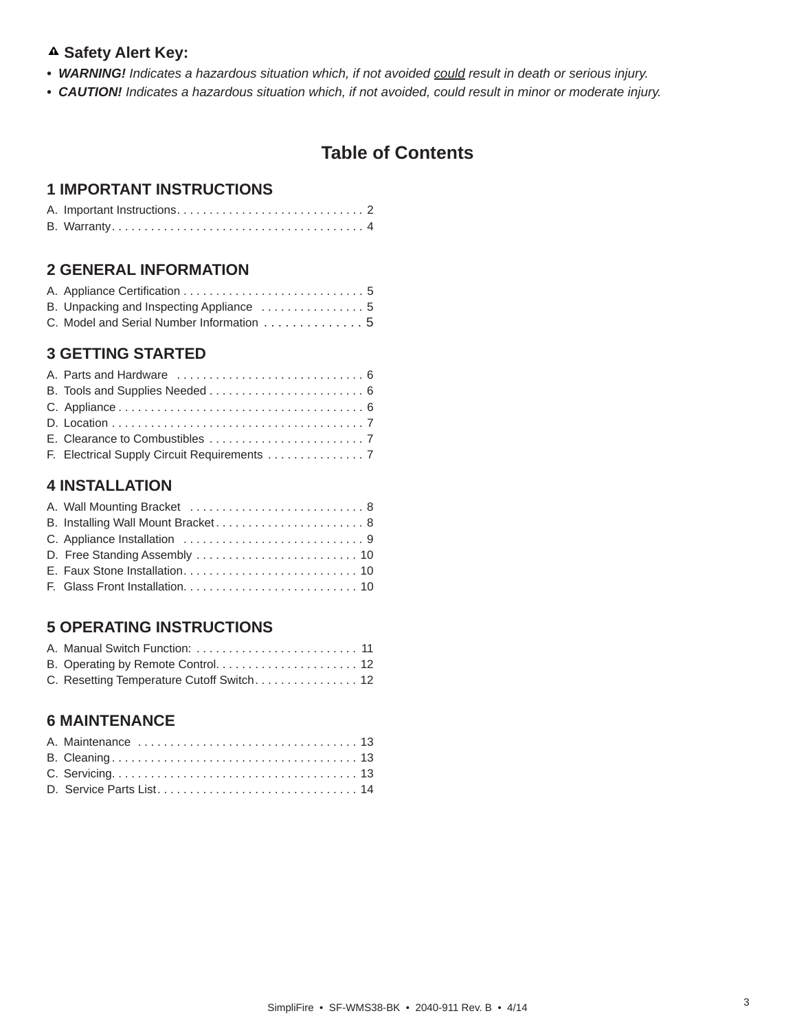#### **Safety Alert Key:**

- *WARNING! Indicates a hazardous situation which, if not avoided could result in death or serious injury.*
- *CAUTION! Indicates a hazardous situation which, if not avoided, could result in minor or moderate injury.*

## **Table of Contents**

#### **1 IMPORTANT INSTRUCTIONS**

#### **2 GENERAL INFORMATION**

| C. Model and Serial Number Information 5 |  |  |  |  |  |
|------------------------------------------|--|--|--|--|--|

### **3 GETTING STARTED**

#### **4 INSTALLATION**

| A. Wall Mounting Bracket  8        |
|------------------------------------|
| B. Installing Wall Mount Bracket 8 |
|                                    |
|                                    |
|                                    |
|                                    |
|                                    |

#### **5 OPERATING INSTRUCTIONS**

| C. Resetting Temperature Cutoff Switch 12 |  |
|-------------------------------------------|--|

#### **6 MAINTENANCE**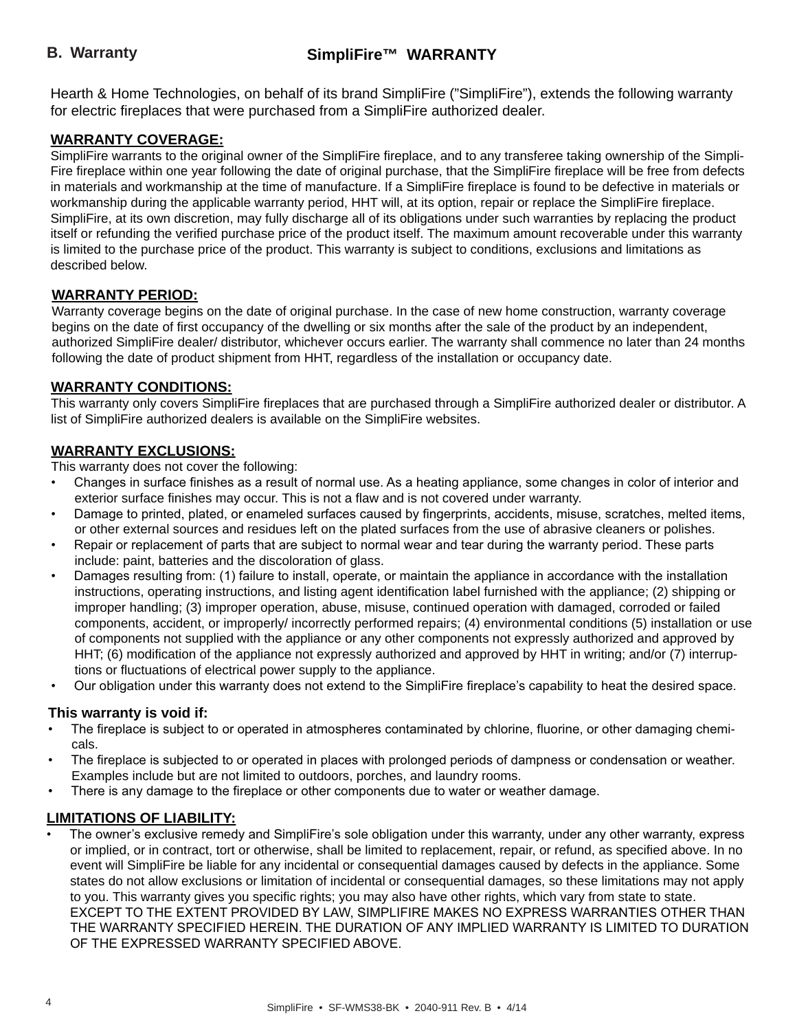#### **B. Warranty**

## **SimpliFire™ WARRANTY**

Hearth & Home Technologies, on behalf of its brand SimpliFire ("SimpliFire"), extends the following warranty for electric fireplaces that were purchased from a SimpliFire authorized dealer.

#### **WARRANTY COVERAGE:**

SimpliFire warrants to the original owner of the SimpliFire fireplace, and to any transferee taking ownership of the Simpli-Fire fireplace within one year following the date of original purchase, that the SimpliFire fireplace will be free from defects in materials and workmanship at the time of manufacture. If a SimpliFire fireplace is found to be defective in materials or workmanship during the applicable warranty period, HHT will, at its option, repair or replace the SimpliFire fireplace. SimpliFire, at its own discretion, may fully discharge all of its obligations under such warranties by replacing the product itself or refunding the verified purchase price of the product itself. The maximum amount recoverable under this warranty is limited to the purchase price of the product. This warranty is subject to conditions, exclusions and limitations as described below.

#### **WARRANTY PERIOD:**

Warranty coverage begins on the date of original purchase. In the case of new home construction, warranty coverage begins on the date of first occupancy of the dwelling or six months after the sale of the product by an independent, authorized SimpliFire dealer/ distributor, whichever occurs earlier. The warranty shall commence no later than 24 months following the date of product shipment from HHT, regardless of the installation or occupancy date.

#### **WARRANTY CONDITIONS:**

This warranty only covers SimpliFire fireplaces that are purchased through a SimpliFire authorized dealer or distributor. A list of SimpliFire authorized dealers is available on the SimpliFire websites.

#### **WARRANTY EXCLUSIONS:**

This warranty does not cover the following:

- Changes in surface finishes as a result of normal use. As a heating appliance, some changes in color of interior and exterior surface finishes may occur. This is not a flaw and is not covered under warranty.
- Damage to printed, plated, or enameled surfaces caused by fingerprints, accidents, misuse, scratches, melted items, or other external sources and residues left on the plated surfaces from the use of abrasive cleaners or polishes.
- Repair or replacement of parts that are subject to normal wear and tear during the warranty period. These parts include: paint, batteries and the discoloration of glass.
- Damages resulting from: (1) failure to install, operate, or maintain the appliance in accordance with the installation instructions, operating instructions, and listing agent identification label furnished with the appliance; (2) shipping or improper handling; (3) improper operation, abuse, misuse, continued operation with damaged, corroded or failed components, accident, or improperly/ incorrectly performed repairs; (4) environmental conditions (5) installation or use of components not supplied with the appliance or any other components not expressly authorized and approved by HHT; (6) modification of the appliance not expressly authorized and approved by HHT in writing; and/or (7) interruptions or fluctuations of electrical power supply to the appliance.
- Our obligation under this warranty does not extend to the SimpliFire fireplace's capability to heat the desired space.

#### **This warranty is void if:**

- The fireplace is subject to or operated in atmospheres contaminated by chlorine, fluorine, or other damaging chemicals.
- The fireplace is subjected to or operated in places with prolonged periods of dampness or condensation or weather. Examples include but are not limited to outdoors, porches, and laundry rooms.
- There is any damage to the fireplace or other components due to water or weather damage.

#### **LIMITATIONS OF LIABILITY:**

The owner's exclusive remedy and SimpliFire's sole obligation under this warranty, under any other warranty, express or implied, or in contract, tort or otherwise, shall be limited to replacement, repair, or refund, as specified above. In no event will SimpliFire be liable for any incidental or consequential damages caused by defects in the appliance. Some states do not allow exclusions or limitation of incidental or consequential damages, so these limitations may not apply to you. This warranty gives you specific rights; you may also have other rights, which vary from state to state. EXCEPT TO THE EXTENT PROVIDED BY LAW, SIMPLIFIRE MAKES NO EXPRESS WARRANTIES OTHER THAN THE WARRANTY SPECIFIED HEREIN. THE DURATION OF ANY IMPLIED WARRANTY IS LIMITED TO DURATION OF THE EXPRESSED WARRANTY SPECIFIED ABOVE.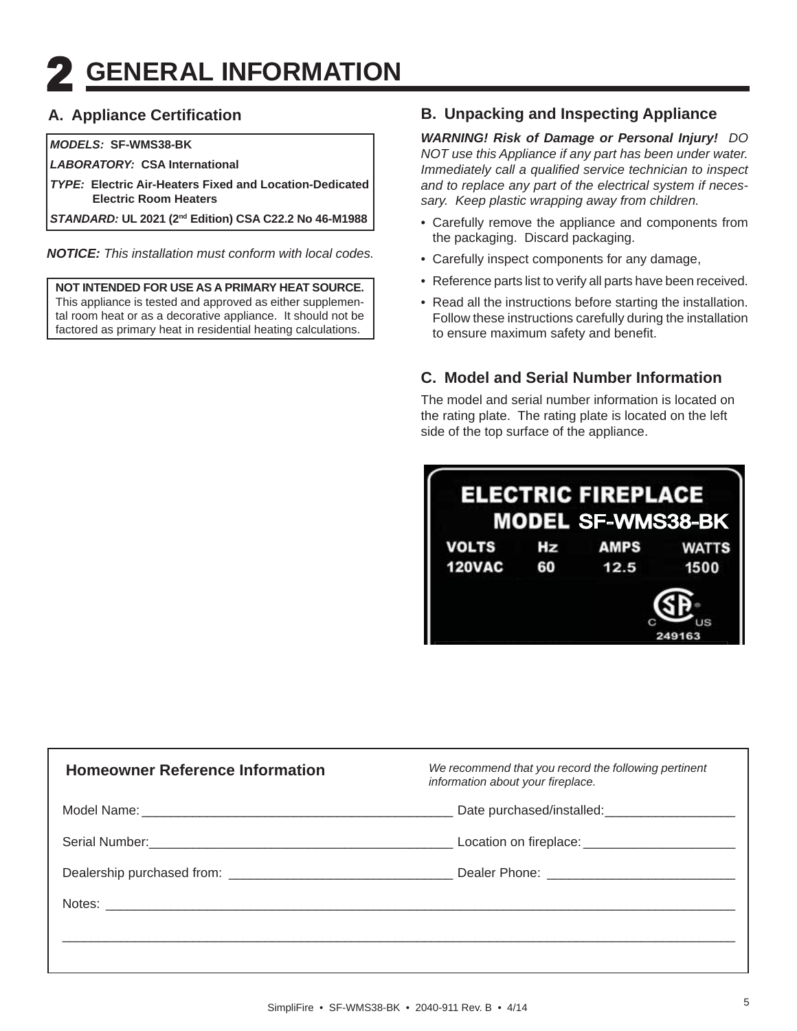# **2 GENERAL INFORMATION**

## **A. Appliance Certifi cation**

#### *MODELS:* **SF-WMS38-BK**

*LABORATORY:* **CSA International**

*TYPE:* **Electric Air-Heaters Fixed and Location-Dedicated Electric Room Heaters**

*STANDARD:* **UL 2021 (2nd Edition) CSA C22.2 No 46-M1988**

*NOTICE: This installation must conform with local codes.* 

**NOT INTENDED FOR USE AS A PRIMARY HEAT SOURCE.**  This appliance is tested and approved as either supplemental room heat or as a decorative appliance. It should not be factored as primary heat in residential heating calculations.

### **B. Unpacking and Inspecting Appliance**

*WARNING! Risk of Damage or Personal Injury! DO NOT use this Appliance if any part has been under water. Immediately call a qualified service technician to inspect and to replace any part of the electrical system if necessary. Keep plastic wrapping away from children.*

- Carefully remove the appliance and components from the packaging. Discard packaging.
- Carefully inspect components for any damage,
- Reference parts list to verify all parts have been received.
- Read all the instructions before starting the installation. Follow these instructions carefully during the installation to ensure maximum safety and benefit.

## **C. Model and Serial Number Information**

The model and serial number information is located on the rating plate. The rating plate is located on the left side of the top surface of the appliance.



| <b>Homeowner Reference Information</b> | We recommend that you record the following pertinent<br>information about your fireplace. |  |  |
|----------------------------------------|-------------------------------------------------------------------------------------------|--|--|
|                                        | Date purchased/installed:<br><u>[</u> [11][12] Date purchased/installed:                  |  |  |
|                                        |                                                                                           |  |  |
|                                        |                                                                                           |  |  |
|                                        |                                                                                           |  |  |
|                                        |                                                                                           |  |  |
|                                        |                                                                                           |  |  |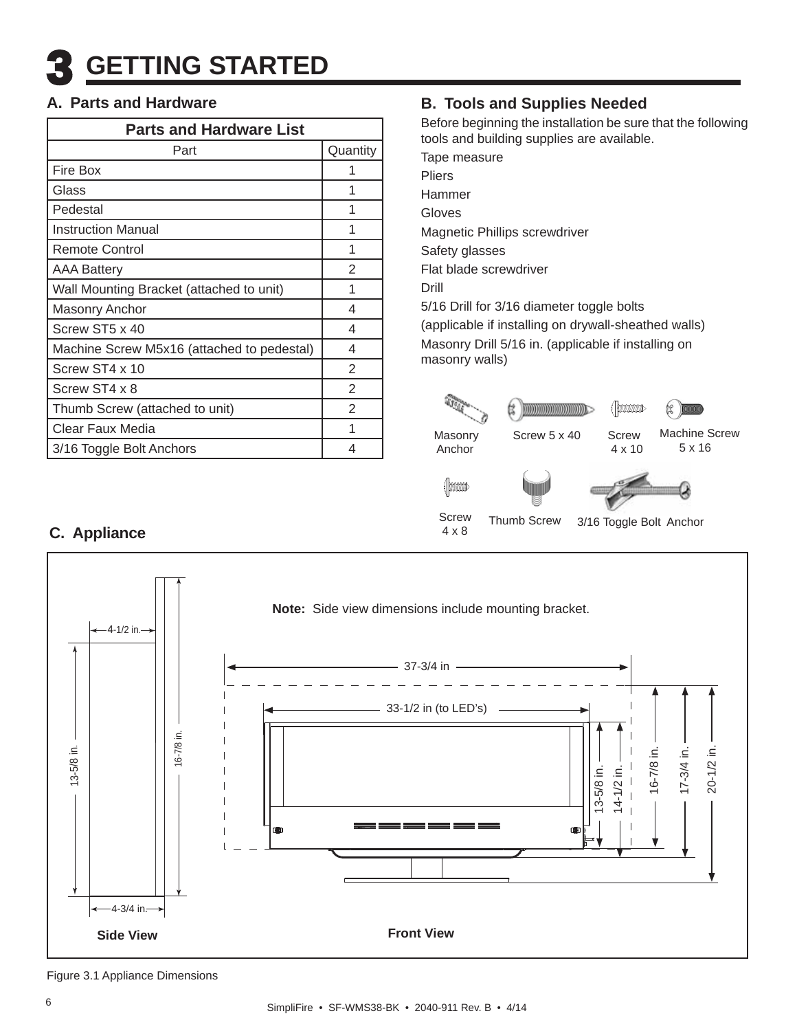## **A. Parts and Hardware**

| <b>Parts and Hardware List</b>             |                |  |  |  |  |
|--------------------------------------------|----------------|--|--|--|--|
| Part                                       | Quantity       |  |  |  |  |
| Fire Box                                   |                |  |  |  |  |
| Glass                                      |                |  |  |  |  |
| Pedestal                                   | 1              |  |  |  |  |
| <b>Instruction Manual</b>                  | 1              |  |  |  |  |
| <b>Remote Control</b>                      | 1              |  |  |  |  |
| <b>AAA Battery</b>                         | $\mathfrak{D}$ |  |  |  |  |
| Wall Mounting Bracket (attached to unit)   | 1              |  |  |  |  |
| <b>Masonry Anchor</b>                      | 4              |  |  |  |  |
| Screw ST5 x 40                             | 4              |  |  |  |  |
| Machine Screw M5x16 (attached to pedestal) | 4              |  |  |  |  |
| Screw ST4 x 10                             | 2              |  |  |  |  |
| Screw ST4 x 8                              | $\overline{2}$ |  |  |  |  |
| Thumb Screw (attached to unit)             | $\overline{2}$ |  |  |  |  |
| Clear Faux Media                           | 1              |  |  |  |  |
| 3/16 Toggle Bolt Anchors                   | 4              |  |  |  |  |

## **B. Tools and Supplies Needed**

Before beginning the installation be sure that the following tools and building supplies are available.

Tape measure Pliers Hammer Gloves Magnetic Phillips screwdriver Safety glasses Flat blade screwdriver Drill 5/16 Drill for 3/16 diameter toggle bolts (applicable if installing on drywall-sheathed walls) Masonry Drill 5/16 in. (applicable if installing on masonry walls)



Thumb Screw 3/16 Toggle Bolt Anchor

## **C. Appliance**



Screw 4 x 8

Figure 3.1 Appliance Dimensions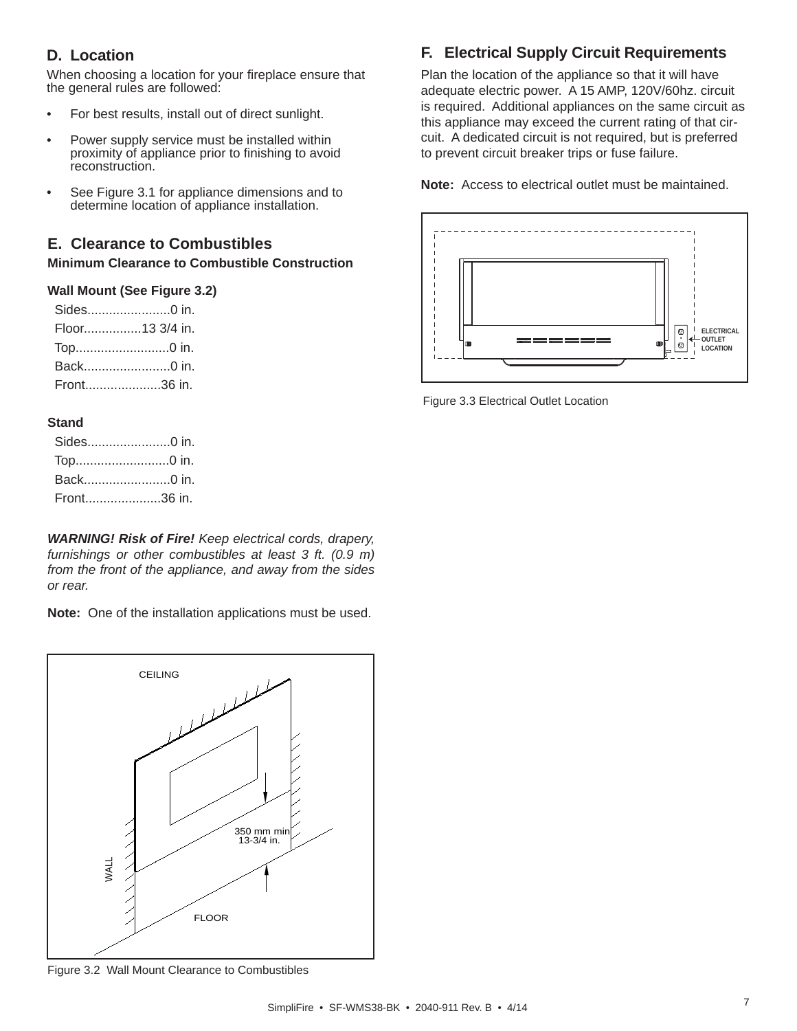## **D. Location**

When choosing a location for your fireplace ensure that the general rules are followed:

- For best results, install out of direct sunlight.
- Power supply service must be installed within proximity of appliance prior to finishing to avoid reconstruction.
- See Figure 3.1 for appliance dimensions and to determine location of appliance installation.

## **E. Clearance to Combustibles**

**Minimum Clearance to Combustible Construction**

#### **Wall Mount (See Figure 3.2)**

| Sides0 in.      |
|-----------------|
| Floor13 3/4 in. |
| Top0 in.        |
| Back0 in.       |
| Front36 in.     |
|                 |

#### **Stand**

| Sides0 in.  |  |
|-------------|--|
|             |  |
| Back0 in.   |  |
| Front36 in. |  |

*WARNING! Risk of Fire! Keep electrical cords, drapery, furnishings or other combustibles at least 3 ft. (0.9 m) from the front of the appliance, and away from the sides or rear.*

**Note:** One of the installation applications must be used.



Figure 3.2 Wall Mount Clearance to Combustibles

## **F. Electrical Supply Circuit Requirements**

Plan the location of the appliance so that it will have adequate electric power. A 15 AMP, 120V/60hz. circuit is required. Additional appliances on the same circuit as this appliance may exceed the current rating of that circuit. A dedicated circuit is not required, but is preferred to prevent circuit breaker trips or fuse failure.

**Note:** Access to electrical outlet must be maintained.



Figure 3.3 Electrical Outlet Location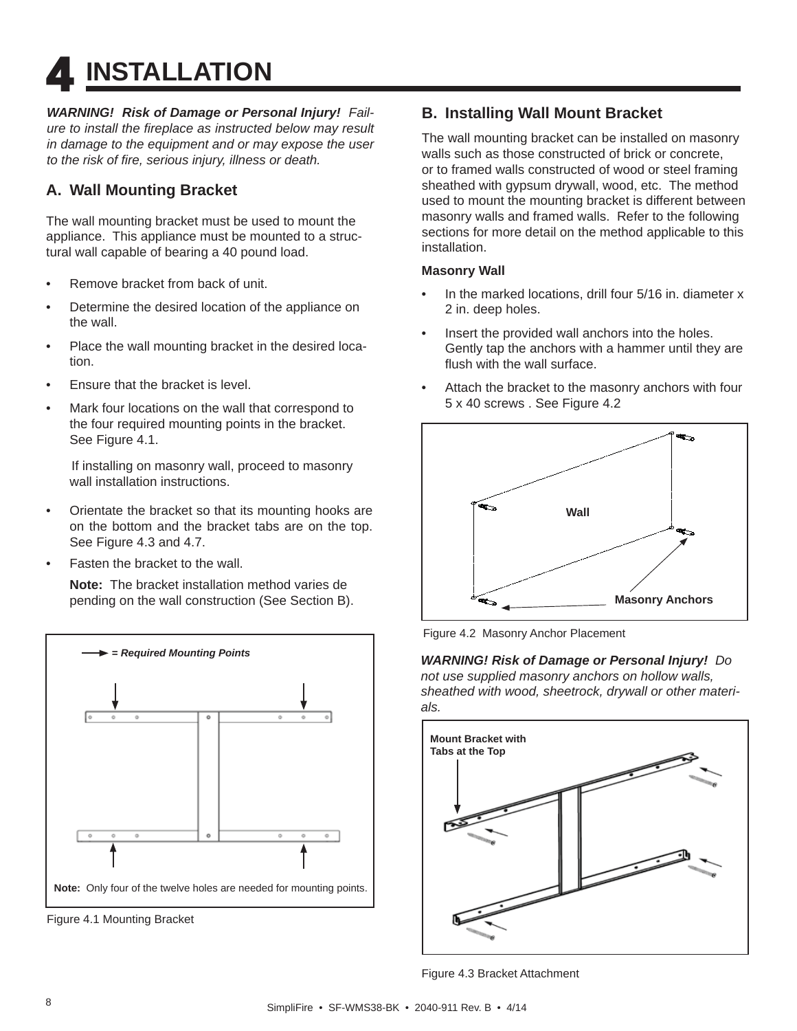**4 INSTALLATION** 

*WARNING! Risk of Damage or Personal Injury! Failure to install the fi replace as instructed below may result in damage to the equipment and or may expose the user to the risk of fi re, serious injury, illness or death.*

## **A. Wall Mounting Bracket**

The wall mounting bracket must be used to mount the appliance. This appliance must be mounted to a structural wall capable of bearing a 40 pound load.

- Remove bracket from back of unit.
- Determine the desired location of the appliance on the wall.
- Place the wall mounting bracket in the desired location.
- Ensure that the bracket is level.
- Mark four locations on the wall that correspond to the four required mounting points in the bracket. See Figure 4.1.

 If installing on masonry wall, proceed to masonry wall installation instructions.

- Orientate the bracket so that its mounting hooks are on the bottom and the bracket tabs are on the top. See Figure 4.3 and 4.7.
- Fasten the bracket to the wall.

 **Note:** The bracket installation method varies de pending on the wall construction (See Section B).



Figure 4.1 Mounting Bracket

## **B. Installing Wall Mount Bracket**

The wall mounting bracket can be installed on masonry walls such as those constructed of brick or concrete, or to framed walls constructed of wood or steel framing sheathed with gypsum drywall, wood, etc. The method used to mount the mounting bracket is different between masonry walls and framed walls. Refer to the following sections for more detail on the method applicable to this installation.

#### **Masonry Wall**

- In the marked locations, drill four 5/16 in. diameter x 2 in. deep holes.
- Insert the provided wall anchors into the holes. Gently tap the anchors with a hammer until they are flush with the wall surface.
- Attach the bracket to the masonry anchors with four 5 x 40 screws . See Figure 4.2



Figure 4.2 Masonry Anchor Placement

*WARNING! Risk of Damage or Personal Injury! Do not use supplied masonry anchors on hollow walls, sheathed with wood, sheetrock, drywall or other materials.*



Figure 4.3 Bracket Attachment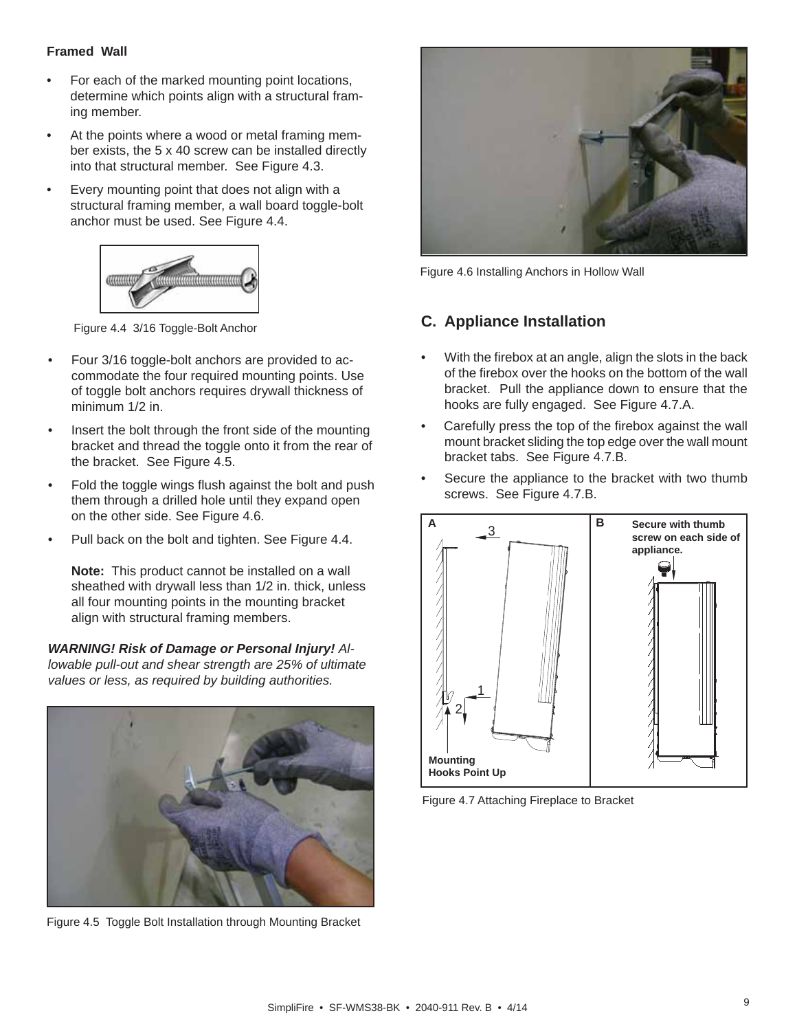#### **Framed Wall**

- For each of the marked mounting point locations, determine which points align with a structural framing member.
- At the points where a wood or metal framing member exists, the 5 x 40 screw can be installed directly into that structural member. See Figure 4.3.
- Every mounting point that does not align with a structural framing member, a wall board toggle-bolt anchor must be used. See Figure 4.4.



Figure 4.4 3/16 Toggle-Bolt Anchor

- Four 3/16 toggle-bolt anchors are provided to accommodate the four required mounting points. Use of toggle bolt anchors requires drywall thickness of minimum 1/2 in.
- Insert the bolt through the front side of the mounting bracket and thread the toggle onto it from the rear of the bracket. See Figure 4.5.
- Fold the toggle wings flush against the bolt and push them through a drilled hole until they expand open on the other side. See Figure 4.6.
- Pull back on the bolt and tighten. See Figure 4.4.

**Note:** This product cannot be installed on a wall sheathed with drywall less than 1/2 in. thick, unless all four mounting points in the mounting bracket align with structural framing members.

*WARNING! Risk of Damage or Personal Injury! Allowable pull-out and shear strength are 25% of ultimate values or less, as required by building authorities.*



Figure 4.5 Toggle Bolt Installation through Mounting Bracket



Figure 4.6 Installing Anchors in Hollow Wall

## **C. Appliance Installation**

- With the firebox at an angle, align the slots in the back of the firebox over the hooks on the bottom of the wall bracket. Pull the appliance down to ensure that the hooks are fully engaged. See Figure 4.7.A.
- Carefully press the top of the firebox against the wall mount bracket sliding the top edge over the wall mount bracket tabs. See Figure 4.7.B.
- Secure the appliance to the bracket with two thumb screws. See Figure 4.7.B.



Figure 4.7 Attaching Fireplace to Bracket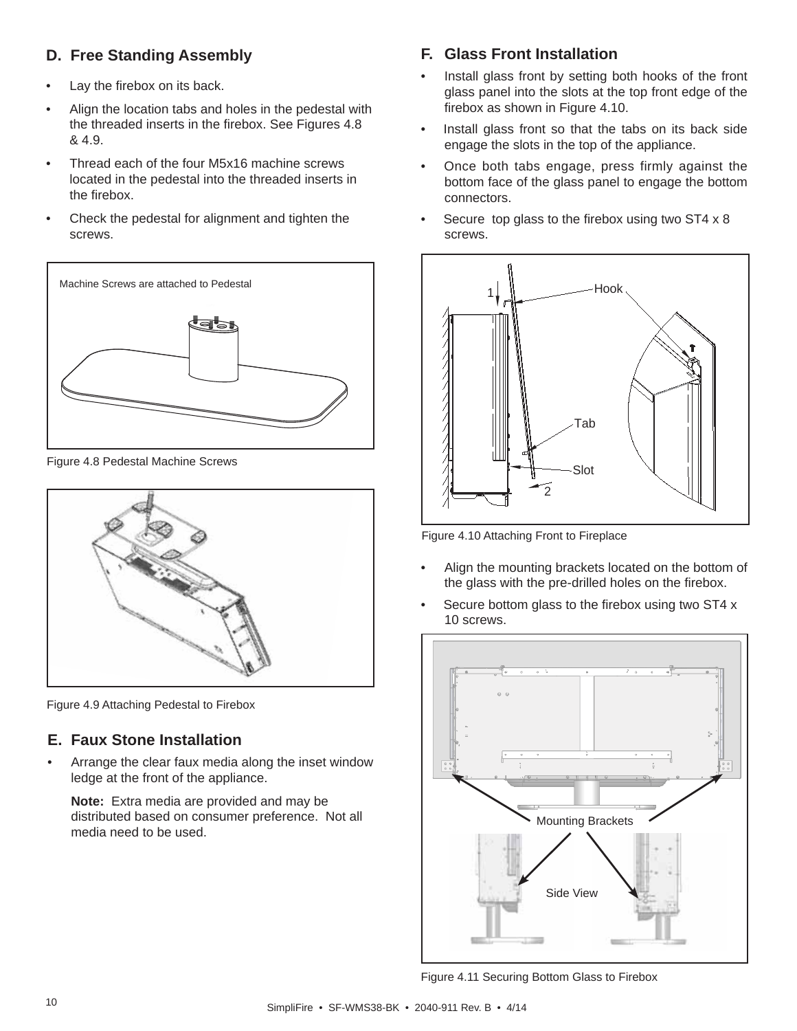## **D. Free Standing Assembly**

- Lay the firebox on its back.
- Align the location tabs and holes in the pedestal with the threaded inserts in the firebox. See Figures 4.8 & 4.9.
- Thread each of the four M5x16 machine screws located in the pedestal into the threaded inserts in the firebox.
- Check the pedestal for alignment and tighten the screws.



Figure 4.8 Pedestal Machine Screws



Figure 4.9 Attaching Pedestal to Firebox

## **E. Faux Stone Installation**

• Arrange the clear faux media along the inset window ledge at the front of the appliance.

**Note:** Extra media are provided and may be distributed based on consumer preference. Not all media need to be used.

## **F. Glass Front Installation**

- Install glass front by setting both hooks of the front glass panel into the slots at the top front edge of the firebox as shown in Figure 4.10.
- Install glass front so that the tabs on its back side engage the slots in the top of the appliance.
- Once both tabs engage, press firmly against the bottom face of the glass panel to engage the bottom connectors.
- Secure top glass to the firebox using two ST4  $\times$  8 screws.



Figure 4.10 Attaching Front to Fireplace

- Align the mounting brackets located on the bottom of the glass with the pre-drilled holes on the firebox.
- Secure bottom glass to the firebox using two ST4 x 10 screws.



Figure 4.11 Securing Bottom Glass to Firebox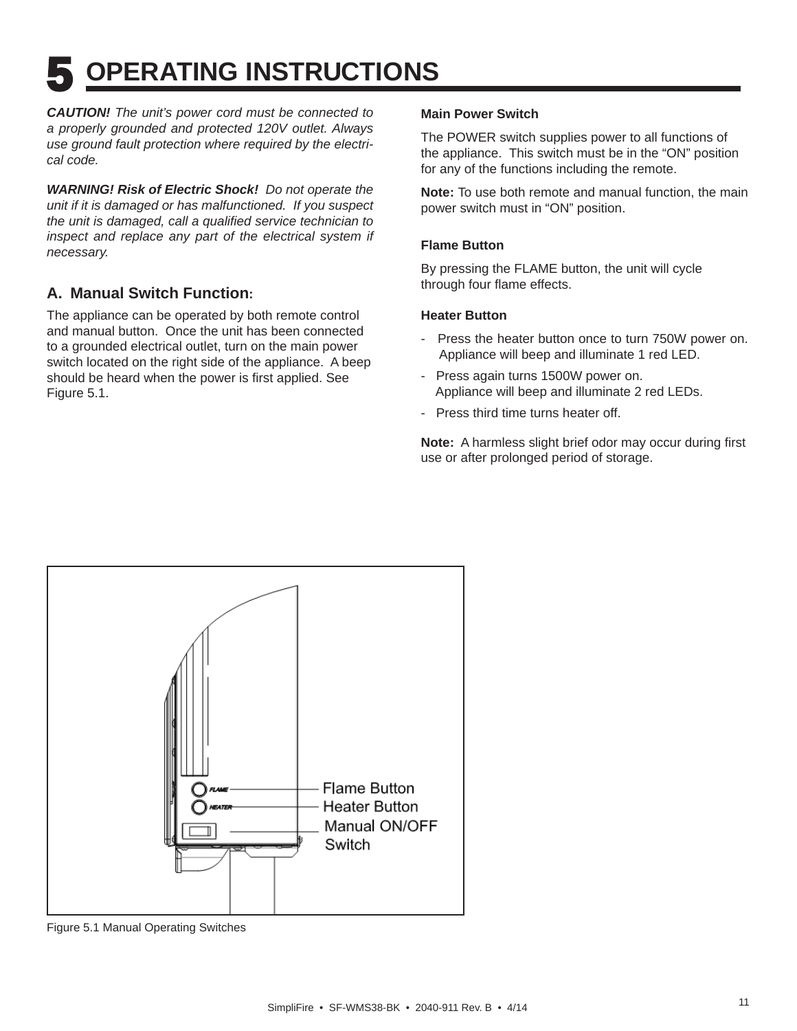# **5 OPERATING INSTRUCTIONS**

*CAUTION! The unit's power cord must be connected to a properly grounded and protected 120V outlet. Always use ground fault protection where required by the electrical code.*

*WARNING! Risk of Electric Shock! Do not operate the unit if it is damaged or has malfunctioned. If you suspect the unit is damaged, call a qualified service technician to* inspect and replace any part of the electrical system if *necessary.*

## **A. Manual Switch Function:**

The appliance can be operated by both remote control and manual button. Once the unit has been connected to a grounded electrical outlet, turn on the main power switch located on the right side of the appliance. A beep should be heard when the power is first applied. See Figure 5.1.

#### **Main Power Switch**

The POWER switch supplies power to all functions of the appliance. This switch must be in the "ON" position for any of the functions including the remote.

**Note:** To use both remote and manual function, the main power switch must in "ON" position.

#### **Flame Button**

By pressing the FLAME button, the unit will cycle through four flame effects.

#### **Heater Button**

- Press the heater button once to turn 750W power on. Appliance will beep and illuminate 1 red LED.
- Press again turns 1500W power on. Appliance will beep and illuminate 2 red LEDs.
- Press third time turns heater off.

**Note:** A harmless slight brief odor may occur during first use or after prolonged period of storage.



Figure 5.1 Manual Operating Switches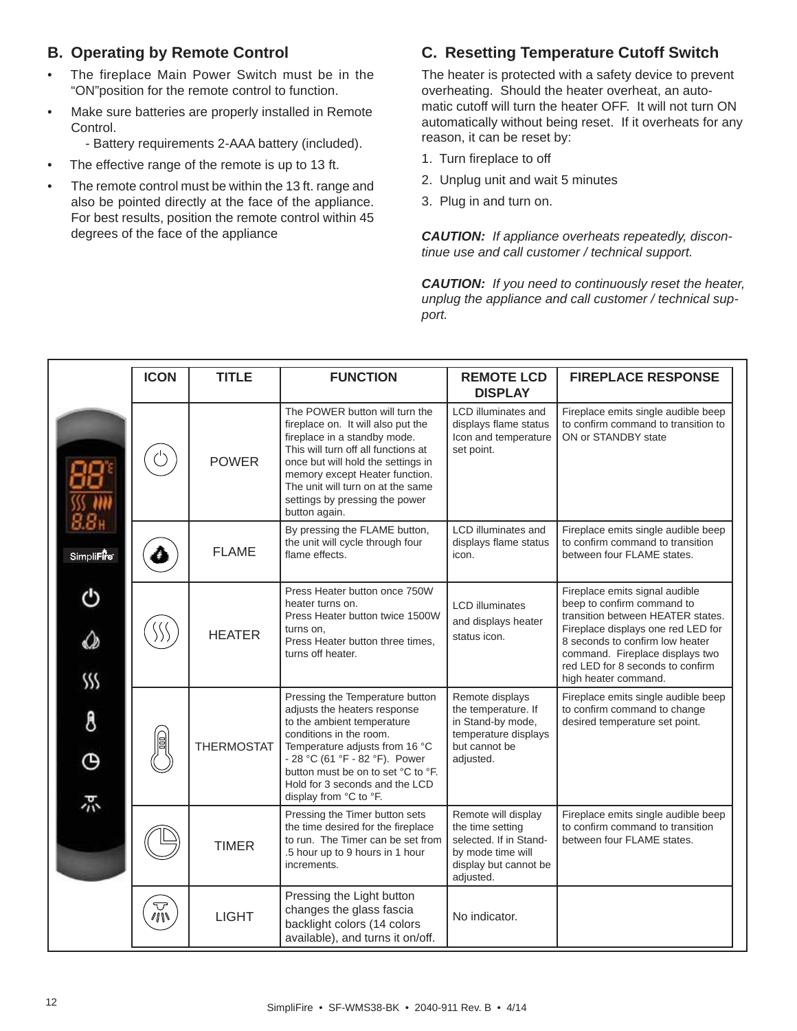## **B. Operating by Remote Control**

- The fireplace Main Power Switch must be in the "ON"position for the remote control to function.
- Make sure batteries are properly installed in Remote Control.
	- Battery requirements 2-AAA battery (included).
- The effective range of the remote is up to 13 ft.
- The remote control must be within the 13 ft. range and also be pointed directly at the face of the appliance. For best results, position the remote control within 45 degrees of the face of the appliance

### **C. Resetting Temperature Cutoff Switch**

The heater is protected with a safety device to prevent overheating. Should the heater overheat, an automatic cutoff will turn the heater OFF. It will not turn ON automatically without being reset. If it overheats for any reason, it can be reset by:

- 1. Turn fireplace to off
- 2. Unplug unit and wait 5 minutes
- 3. Plug in and turn on.

*CAUTION: If appliance overheats repeatedly, discontinue use and call customer / technical support.* 

*CAUTION: If you need to continuously reset the heater, unplug the appliance and call customer / technical support.*

|                    | <b>ICON</b>  | <b>TITLE</b>      | <b>FUNCTION</b>                                                                                                                                                                                                                                                                                             | <b>REMOTE LCD</b><br><b>DISPLAY</b>                                                                               | <b>FIREPLACE RESPONSE</b>                                                                                                               |
|--------------------|--------------|-------------------|-------------------------------------------------------------------------------------------------------------------------------------------------------------------------------------------------------------------------------------------------------------------------------------------------------------|-------------------------------------------------------------------------------------------------------------------|-----------------------------------------------------------------------------------------------------------------------------------------|
|                    |              | <b>POWER</b>      | The POWER button will turn the<br>fireplace on. It will also put the<br>fireplace in a standby mode.<br>This will turn off all functions at<br>once but will hold the settings in<br>memory except Heater function.<br>The unit will turn on at the same<br>settings by pressing the power<br>button again. | <b>LCD</b> illuminates and<br>displays flame status<br>Icon and temperature<br>set point.                         | Fireplace emits single audible beep<br>to confirm command to transition to<br>ON or STANDBY state                                       |
| Simpli <b>Fire</b> |              | <b>FLAME</b>      | By pressing the FLAME button,<br>the unit will cycle through four<br>flame effects.                                                                                                                                                                                                                         | LCD illuminates and<br>displays flame status<br>icon.                                                             | Fireplace emits single audible beep<br>to confirm command to transition<br>between four FLAME states.                                   |
| ტ                  |              | <b>HEATER</b>     | Press Heater button once 750W<br>heater turns on.<br>Press Heater button twice 1500W<br>turns on,                                                                                                                                                                                                           | <b>LCD illuminates</b><br>and displays heater<br>status icon.                                                     | Fireplace emits signal audible<br>beep to confirm command to<br>transition between HEATER states.<br>Fireplace displays one red LED for |
| ♤<br>SSS           |              |                   | Press Heater button three times,<br>turns off heater.                                                                                                                                                                                                                                                       |                                                                                                                   | 8 seconds to confirm low heater<br>command. Fireplace displays two<br>red LED for 8 seconds to confirm<br>high heater command.          |
| 8<br>Θ             |              | <b>THERMOSTAT</b> | Pressing the Temperature button<br>adjusts the heaters response<br>to the ambient temperature<br>conditions in the room.<br>Temperature adjusts from 16 °C<br>- 28 °C (61 °F - 82 °F). Power<br>button must be on to set °C to °F.<br>Hold for 3 seconds and the LCD                                        | Remote displays<br>the temperature. If<br>in Stand-by mode,<br>temperature displays<br>but cannot be<br>adjusted. | Fireplace emits single audible beep<br>to confirm command to change<br>desired temperature set point.                                   |
| 尕                  |              |                   | display from °C to °F.<br>Pressing the Timer button sets                                                                                                                                                                                                                                                    | Remote will display                                                                                               | Fireplace emits single audible beep                                                                                                     |
|                    |              | <b>TIMER</b>      | the time desired for the fireplace<br>to run. The Timer can be set from<br>.5 hour up to 9 hours in 1 hour<br>increments.                                                                                                                                                                                   | the time setting<br>selected. If in Stand-<br>by mode time will<br>display but cannot be<br>adjusted.             | to confirm command to transition<br>between four FLAME states.                                                                          |
|                    | $\mathbb{Z}$ | <b>LIGHT</b>      | Pressing the Light button<br>changes the glass fascia<br>backlight colors (14 colors<br>available), and turns it on/off.                                                                                                                                                                                    | No indicator.                                                                                                     |                                                                                                                                         |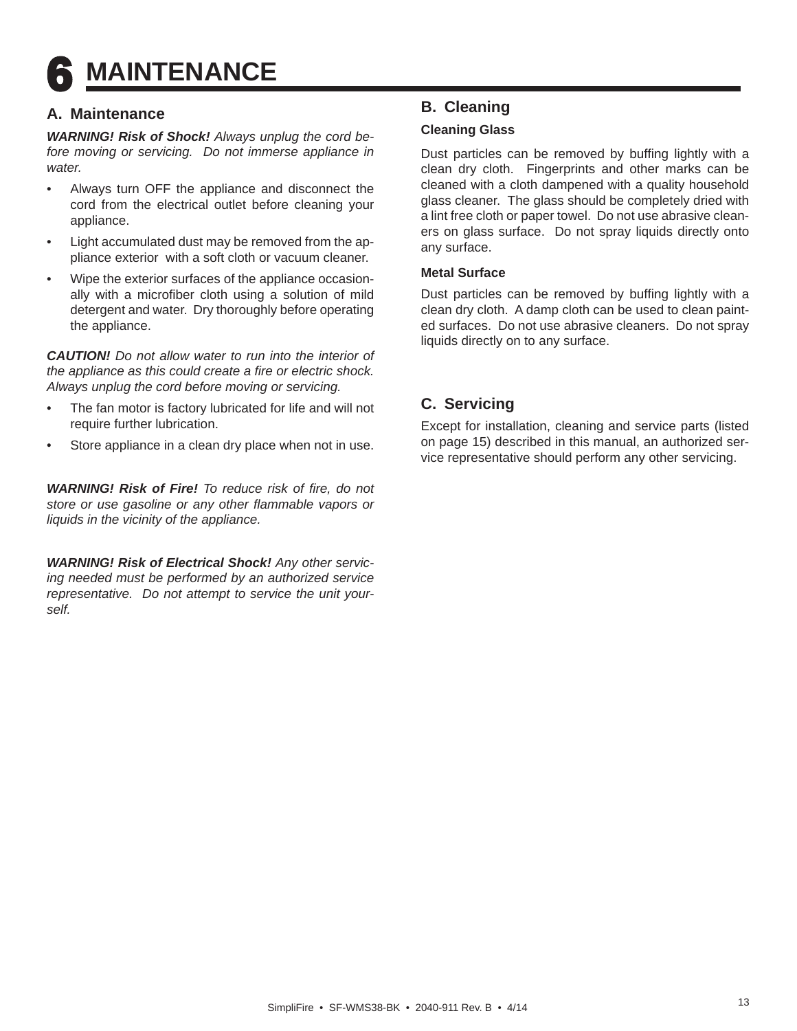## **6 MAINTENANCE**

## **A. Maintenance**

*WARNING! Risk of Shock! Always unplug the cord before moving or servicing. Do not immerse appliance in water.*

- Always turn OFF the appliance and disconnect the cord from the electrical outlet before cleaning your appliance.
- Light accumulated dust may be removed from the appliance exterior with a soft cloth or vacuum cleaner.
- Wipe the exterior surfaces of the appliance occasionally with a microfiber cloth using a solution of mild detergent and water. Dry thoroughly before operating the appliance.

*CAUTION! Do not allow water to run into the interior of the appliance as this could create a fire or electric shock. Always unplug the cord before moving or servicing.* 

- The fan motor is factory lubricated for life and will not require further lubrication.
- Store appliance in a clean dry place when not in use.

*WARNING! Risk of Fire! To reduce risk of fire, do not store or use gasoline or any other fl ammable vapors or liquids in the vicinity of the appliance.* 

*WARNING! Risk of Electrical Shock! Any other servicing needed must be performed by an authorized service representative. Do not attempt to service the unit yourself.*

## **B. Cleaning**

#### **Cleaning Glass**

Dust particles can be removed by buffing lightly with a clean dry cloth. Fingerprints and other marks can be cleaned with a cloth dampened with a quality household glass cleaner. The glass should be completely dried with a lint free cloth or paper towel. Do not use abrasive cleaners on glass surface. Do not spray liquids directly onto any surface.

#### **Metal Surface**

Dust particles can be removed by buffing lightly with a clean dry cloth. A damp cloth can be used to clean painted surfaces. Do not use abrasive cleaners. Do not spray liquids directly on to any surface.

## **C. Servicing**

Except for installation, cleaning and service parts (listed on page 15) described in this manual, an authorized service representative should perform any other servicing.